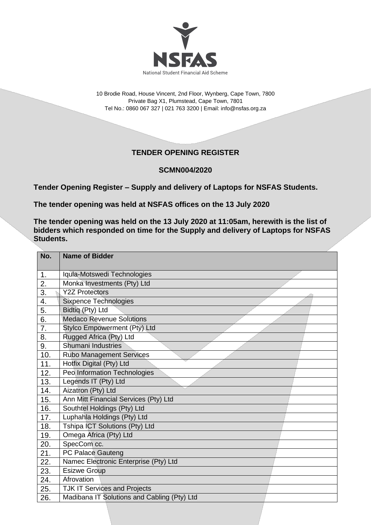

10 Brodie Road, House Vincent, 2nd Floor, Wynberg, Cape Town, 7800 Private Bag X1, Plumstead, Cape Town, 7801 Tel No.: 0860 067 327 | 021 763 3200 | Email[: info@nsfas.org.za](mailto:info@nsfas.org.za)

## **TENDER OPENING REGISTER**

## **SCMN004/2020**

**Tender Opening Register – Supply and delivery of Laptops for NSFAS Students.**

**The tender opening was held at NSFAS offices on the 13 July 2020**

**The tender opening was held on the 13 July 2020 at 11:05am, herewith is the list of bidders which responded on time for the Supply and delivery of Laptops for NSFAS Students.**

| No. | <b>Name of Bidder</b>                       |
|-----|---------------------------------------------|
| 1.  | Iquia-Motswedi Technologies                 |
| 2.  | Monka Investments (Pty) Ltd                 |
| 3.  | <b>Y2Z Protectors</b>                       |
| 4.  | <b>Sixpence Technologies</b>                |
| 5.  | Bidtiq (Pty) Ltd                            |
| 6.  | <b>Medaco Revenue Solutions</b>             |
| 7.  | Stylco Empowerment (Pty) Ltd                |
| 8.  | Rugged Africa (Pty) Ltd                     |
| 9.  | Shumani Industries                          |
| 10. | <b>Rubo Management Services</b>             |
| 11. | Hotfix Digital (Pty) Ltd                    |
| 12. | Peo Information Technologies                |
| 13. | Legends IT (Pty) Ltd                        |
| 14. | Aizatron (Pty) Ltd                          |
| 15. | Ann Mitt Financial Services (Pty) Ltd       |
| 16. | Southtel Holdings (Pty) Ltd                 |
| 17. | Luphahla Holdings (Pty) Ltd                 |
| 18. | Tshipa ICT Solutions (Pty) Ltd              |
| 19. | Omega Africa (Pty) Ltd                      |
| 20. | SpecCom cc.                                 |
| 21. | PC Palace Gauteng                           |
| 22. | Namec Electronic Enterprise (Pty) Ltd       |
| 23. | <b>Esizwe Group</b>                         |
| 24. | Afrovation                                  |
| 25. | <b>TJK IT Services and Projects</b>         |
| 26. | Madibana IT Solutions and Cabling (Pty) Ltd |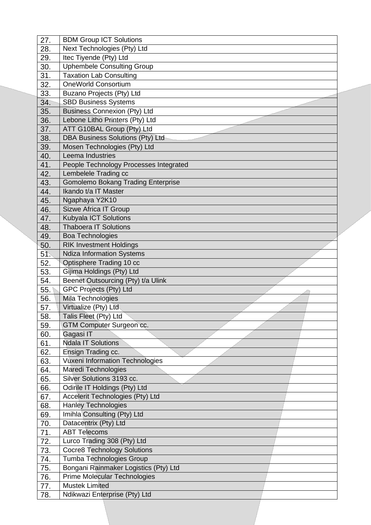| 27. | <b>BDM Group ICT Solutions</b>            |
|-----|-------------------------------------------|
| 28. | Next Technologies (Pty) Ltd               |
| 29. | Itec Tiyende (Pty) Ltd                    |
| 30. | <b>Uphembele Consulting Group</b>         |
| 31. | <b>Taxation Lab Consulting</b>            |
| 32. | <b>OneWorld Consortium</b>                |
| 33. | Buzano Projects (Pty) Ltd                 |
| 34. | <b>SBD Business Systems</b>               |
| 35. | <b>Business Connexion (Pty) Ltd</b>       |
| 36. | Lebone Litho Printers (Pty) Ltd           |
| 37. | ATT G10BAL Group (Pty) Ltd                |
| 38. | DBA Business Solutions (Pty) Ltd          |
| 39. | Mosen Technologies (Pty) Ltd              |
| 40. | Leema Industries                          |
| 41. | People Technology Processes Integrated    |
| 42. | Lembelele Trading cc                      |
| 43. | <b>Gomolemo Bokang Trading Enterprise</b> |
| 44. | Ikando t/a IT Master                      |
| 45. | Ngaphaya Y2K10                            |
| 46. | Sizwe Africa IT Group                     |
| 47. | Kubyala ICT Solutions                     |
| 48. | <b>Thaboera IT Solutions</b>              |
| 49. | <b>Boa Technologies</b>                   |
| 50. | <b>RIK Investment Holdings</b>            |
| 51. | <b>Ndiza Information Systems</b>          |
| 52. | Optisphere Trading 10 cc                  |
| 53. | Gijima Holdings (Pty) Ltd                 |
| 54. | Beenet Outsourcing (Pty) t/a Ulink        |
| 55. | GPC Projects (Pty) Ltd                    |
| 56. | Mila Technologies                         |
| 57. | Virtualize (Pty) Ltd                      |
| 58. | Talis Fleet (Pty) Ltd                     |
| 59. | GTM Computer Surgeon cc.                  |
| 60. | Gagasi IT                                 |
| 61. | <b>Ndala IT Solutions</b>                 |
| 62. | Ensign Trading cc.                        |
| 63. | <b>Vuxeni Information Technologies</b>    |
| 64. | Maredi Technologies                       |
| 65. | Silver Solutions 3193 cc.                 |
| 66. | Odirile IT Holdings (Pty) Ltd             |
| 67. | Accelerit Technologies (Pty) Ltd          |
| 68. | <b>Hanley Technologies</b>                |
| 69. | Imihla Consulting (Pty) Ltd               |
| 70. | Datacentrix (Pty) Ltd                     |
| 71. | <b>ABT Telecoms</b>                       |
| 72. | Lurco Trading 308 (Pty) Ltd               |
| 73. | <b>Cocre8 Technology Solutions</b>        |
| 74. | Tumba Technologies Group                  |
| 75. | Bongani Rainmaker Logistics (Pty) Ltd     |
| 76. | Prime Molecular Technologies              |
| 77. | <b>Mustek Limited</b>                     |
| 78. | Ndikwazi Enterprise (Pty) Ltd             |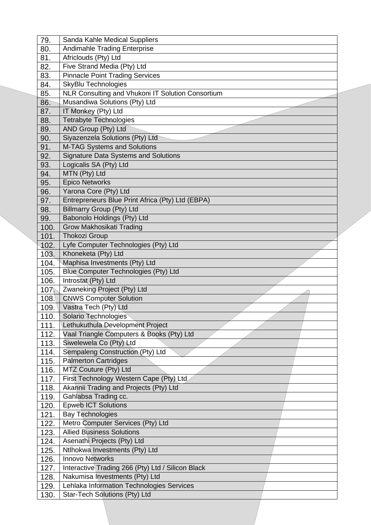| 79.          | Sanda Kahle Medical Suppliers                                              |
|--------------|----------------------------------------------------------------------------|
| 80.          | <b>Andimahle Trading Enterprise</b>                                        |
| 81.          | Africlouds (Pty) Ltd                                                       |
| 82.          | Five Strand Media (Pty) Ltd                                                |
| 83.          | <b>Pinnacle Point Trading Services</b>                                     |
| 84.          | SkyBlu Technologies                                                        |
| 85.          | NLR Consulting and Vhukoni IT Solution Consortium                          |
| 86.          | Musandiwa Solutions (Pty) Ltd                                              |
| 87.          | IT Monkey (Pty) Ltd                                                        |
| 88.          | <b>Tetrabyte Technologies</b>                                              |
| 89.          | AND Group (Pty) Ltd                                                        |
| 90.          | Siyazenzela Solutions (Pty) Ltd                                            |
| 91.          | M-TAG Systems and Solutions                                                |
| 92.          | <b>Signature Data Systems and Solutions</b>                                |
| 93.          | Logicalis SA (Pty) Ltd                                                     |
| 94.          | MTN (Pty) Ltd                                                              |
| 95.          | <b>Epico Networks</b>                                                      |
| 96.          | Yarona Core (Pty) Ltd                                                      |
| 97.          | Entrepreneurs Blue Print Africa (Pty) Ltd (EBPA)                           |
| 98.          | <b>Billmarry Group (Pty) Ltd</b>                                           |
| 99.          | Babonolo Holdings (Pty) Ltd                                                |
| 100.         | Grow Makhosikati Trading                                                   |
| 101.         | <b>Thokozi Group</b>                                                       |
| 102.         | Lyfe Computer Technologies (Pty) Ltd                                       |
| 103.         | Khoneketa (Pty) Ltd                                                        |
| 104.         | Maphisa Investments (Pty) Ltd                                              |
|              |                                                                            |
| 105.         | Blue Computer Technologies (Pty) Ltd                                       |
| 106.         | Introstat (Pty) Ltd                                                        |
| 107.         | Zwaneking Project (Pty) Ltd                                                |
| 108.         | <b>CNWS Computer Solution</b>                                              |
| 109.         | Vastra Tech (Pty) Ltd                                                      |
| 110.         | Solario Technologies                                                       |
| 111.         | Lethukuthula Development Project                                           |
| 112.         | Vaal Triangle Computers & Books (Pty) Ltd                                  |
| 113.         | Siwelewela Co (Pty) Ltd                                                    |
| 114.         | Sempaleng Construction (Pty) Ltd                                           |
| 115.         | <b>Palmerton Cartridges</b>                                                |
| 116.         | MTZ Couture (Pty) Ltd                                                      |
| 117.         | First Technology Western Cape (Pty) Ltd                                    |
| 118.         | Akannii Trading and Projects (Pty) Ltd                                     |
| 119.         | Gahlabsa Trading cc.                                                       |
| 120.         | <b>Epweb ICT Solutions</b>                                                 |
| 121.         | <b>Bay Technologies</b>                                                    |
| 122.         | Metro Computer Services (Pty) Ltd                                          |
| 123.         | <b>Allied Business Solutions</b>                                           |
| 124.         | Asenathi Projects (Pty) Ltd                                                |
| 125.         | Ntlhokwa Investments (Pty) Ltd                                             |
| 126.         | <b>Innovo Networks</b>                                                     |
| 127.         | Interactive Trading 266 (Pty) Ltd / Silicon Black                          |
| 128.         | Nakumisa Investments (Pty) Ltd                                             |
| 129.<br>130. | Lehlaka Information Technologies Services<br>Star-Tech Solutions (Pty) Ltd |